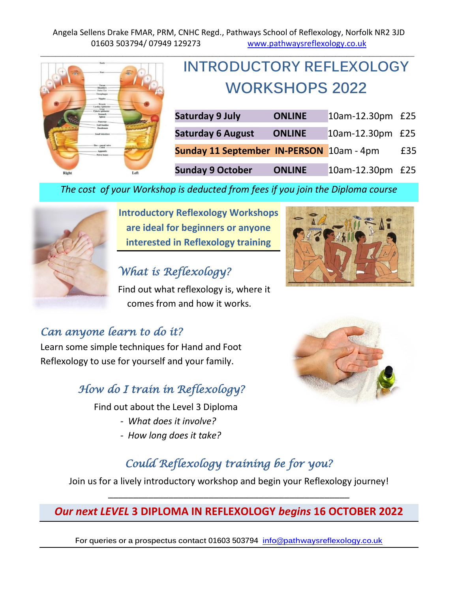

# **INTRODUCTORY REFLEXOLOGY WORKSHOPS 2022**

| <b>Saturday 9 July</b>                   | <b>ONLINE</b> | 10am-12.30pm £25 |     |
|------------------------------------------|---------------|------------------|-----|
| <b>Saturday 6 August</b>                 | <b>ONLINE</b> | 10am-12.30pm £25 |     |
| Sunday 11 September IN-PERSON 10am - 4pm |               |                  | £35 |
| <b>Sunday 9 October</b>                  | <b>ONLINE</b> | 10am-12.30pm £25 |     |

*The cost of your Workshop is deducted from fees if you join the Diploma course*



**Introductory Reflexology Workshops are ideal for beginners or anyone interested in Reflexology training**

## *What is Reflexology?*

Find out what reflexology is, where it comes from and how it works.

### *Can anyone learn to do it?*

Learn some simple techniques for Hand and Foot Reflexology to use for yourself and your family.

### *How do I train in Reflexology?*

Find out about the Level 3 Diploma

- *- What does it involve?*
- *- How long does it take?*





# *Could Reflexology training be for you?*

Join us for a lively introductory workshop and begin your Reflexology journey! \_\_\_\_\_\_\_\_\_\_\_\_\_\_\_\_\_\_\_\_\_\_\_\_\_\_\_\_\_\_\_\_\_\_\_\_\_\_\_\_\_\_\_\_\_\_\_\_

#### *Our next LEVEL* **3 DIPLOMA IN REFLEXOLOGY** *begins* **16 OCTOBER 2022**

**For queries or a prospectus contact 01603 503794 [info@pathwaysreflexology.co.uk](mailto:info@pathwaysreflexology.co.uk)**